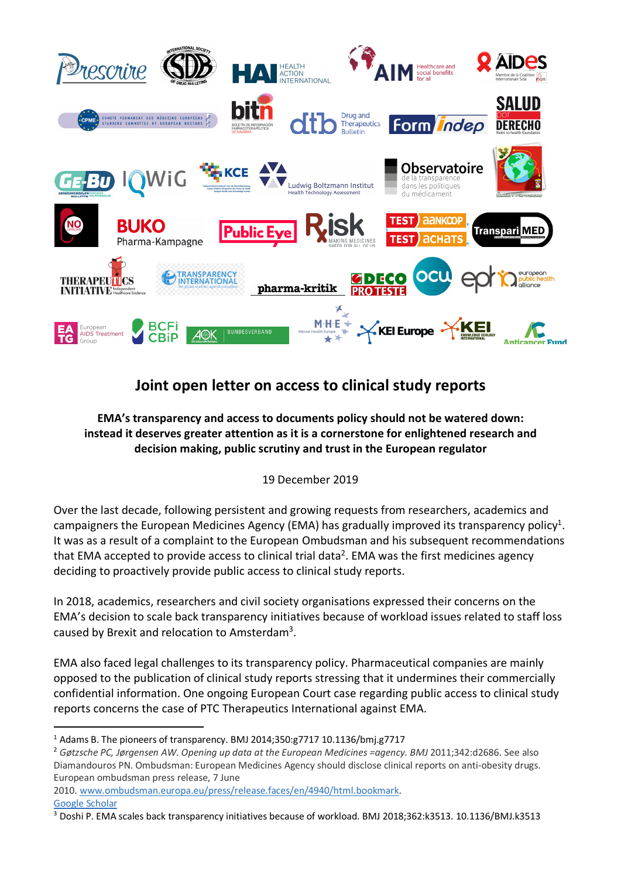

## **Joint open letter on access to clinical study reports**

## **EMA's transparency and access to documents policy should not be watered down: instead it deserves greater attention as it is a cornerstone for enlightened research and decision making, public scrutiny and trust in the European regulator**

## 19 December 2019

Over the last decade, following persistent and growing requests from researchers, academics and campaigners the European Medicines Agency (EMA) has gradually improved its transparency policy<sup>1</sup>. It was as a result of a complaint to the European Ombudsman and his subsequent recommendations that EMA accepted to provide access to clinical trial data<sup>2</sup>. EMA was the first medicines agency deciding to proactively provide public access to clinical study reports.

In 2018, academics, researchers and civil society organisations expressed their concerns on the EMA's decision to scale back transparency initiatives because of workload issues related to staff loss caused by Brexit and relocation to Amsterdam3.

EMA also faced legal challenges to its transparency policy. Pharmaceutical companies are mainly opposed to the publication of clinical study reports stressing that it undermines their commercially confidential information. One ongoing European Court case regarding public access to clinical study reports concerns the case of PTC Therapeutics International against EMA.

2010. www.ombudsman.europa.eu/press/release.faces/en/4940/html.bookmark. Google Scholar

 <sup>1</sup> Adams B. The pioneers of transparency. BMJ 2014;350:g7717 10.1136/bmj.g7717

<sup>2</sup> *Gøtzsche PC, Jørgensen AW. Opening up data at the European Medicines =agency. BMJ* 2011;342:d2686. See also Diamandouros PN. Ombudsman: European Medicines Agency should disclose clinical reports on anti-obesity drugs. European ombudsman press release, 7 June

<sup>3</sup> Doshi P. EMA scales back transparency initiatives because of workload. BMJ 2018;362:k3513. 10.1136/BMJ.k3513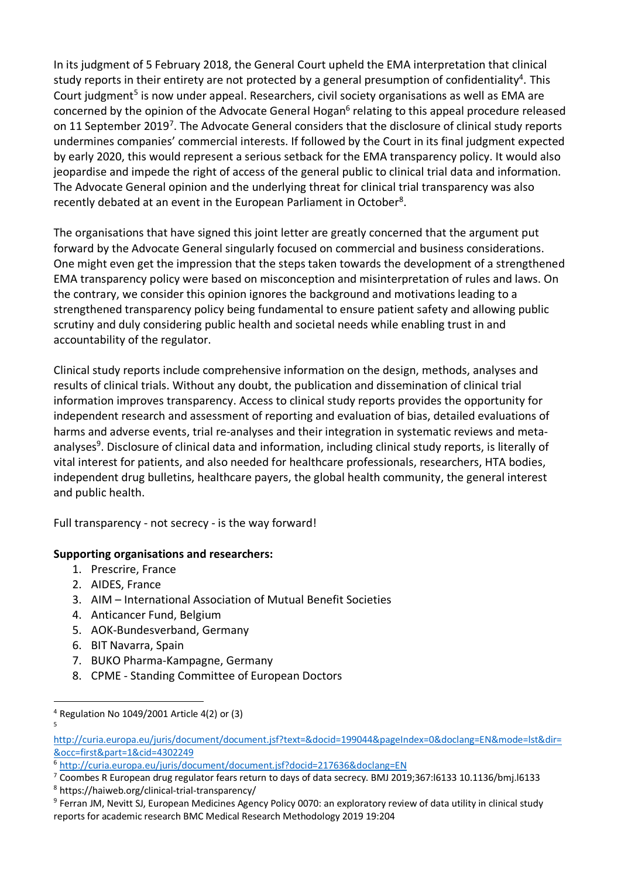In its judgment of 5 February 2018, the General Court upheld the EMA interpretation that clinical study reports in their entirety are not protected by a general presumption of confidentiality<sup>4</sup>. This Court judgment<sup>5</sup> is now under appeal. Researchers, civil society organisations as well as EMA are concerned by the opinion of the Advocate General Hogan<sup>6</sup> relating to this appeal procedure released on 11 September 2019<sup>7</sup>. The Advocate General considers that the disclosure of clinical study reports undermines companies' commercial interests. If followed by the Court in its final judgment expected by early 2020, this would represent a serious setback for the EMA transparency policy. It would also jeopardise and impede the right of access of the general public to clinical trial data and information. The Advocate General opinion and the underlying threat for clinical trial transparency was also recently debated at an event in the European Parliament in October<sup>8</sup>.

The organisations that have signed this joint letter are greatly concerned that the argument put forward by the Advocate General singularly focused on commercial and business considerations. One might even get the impression that the steps taken towards the development of a strengthened EMA transparency policy were based on misconception and misinterpretation of rules and laws. On the contrary, we consider this opinion ignores the background and motivations leading to a strengthened transparency policy being fundamental to ensure patient safety and allowing public scrutiny and duly considering public health and societal needs while enabling trust in and accountability of the regulator.

Clinical study reports include comprehensive information on the design, methods, analyses and results of clinical trials. Without any doubt, the publication and dissemination of clinical trial information improves transparency. Access to clinical study reports provides the opportunity for independent research and assessment of reporting and evaluation of bias, detailed evaluations of harms and adverse events, trial re-analyses and their integration in systematic reviews and metaanalyses<sup>9</sup>. Disclosure of clinical data and information, including clinical study reports, is literally of vital interest for patients, and also needed for healthcare professionals, researchers, HTA bodies, independent drug bulletins, healthcare payers, the global health community, the general interest and public health.

Full transparency - not secrecy - is the way forward!

## **Supporting organisations and researchers:**

- 1. Prescrire, France
- 2. AIDES, France
- 3. AIM International Association of Mutual Benefit Societies
- 4. Anticancer Fund, Belgium
- 5. AOK-Bundesverband, Germany
- 6. BIT Navarra, Spain
- 7. BUKO Pharma-Kampagne, Germany
- 8. CPME Standing Committee of European Doctors

 <sup>4</sup> Regulation No 1049/2001 Article 4(2) or (3) 5

http://curia.europa.eu/juris/document/document.jsf?text=&docid=199044&pageIndex=0&doclang=EN&mode=lst&dir= &occ=first&part=1&cid=4302249

<sup>6</sup> http://curia.europa.eu/juris/document/document.jsf?docid=217636&doclang=EN

<sup>7</sup> Coombes R European drug regulator fears return to days of data secrecy. BMJ 2019;367:l6133 10.1136/bmj.l6133

<sup>8</sup> https://haiweb.org/clinical-trial-transparency/

<sup>&</sup>lt;sup>9</sup> Ferran JM, Nevitt SJ, European Medicines Agency Policy 0070: an exploratory review of data utility in clinical study reports for academic research BMC Medical Research Methodology 2019 19:204